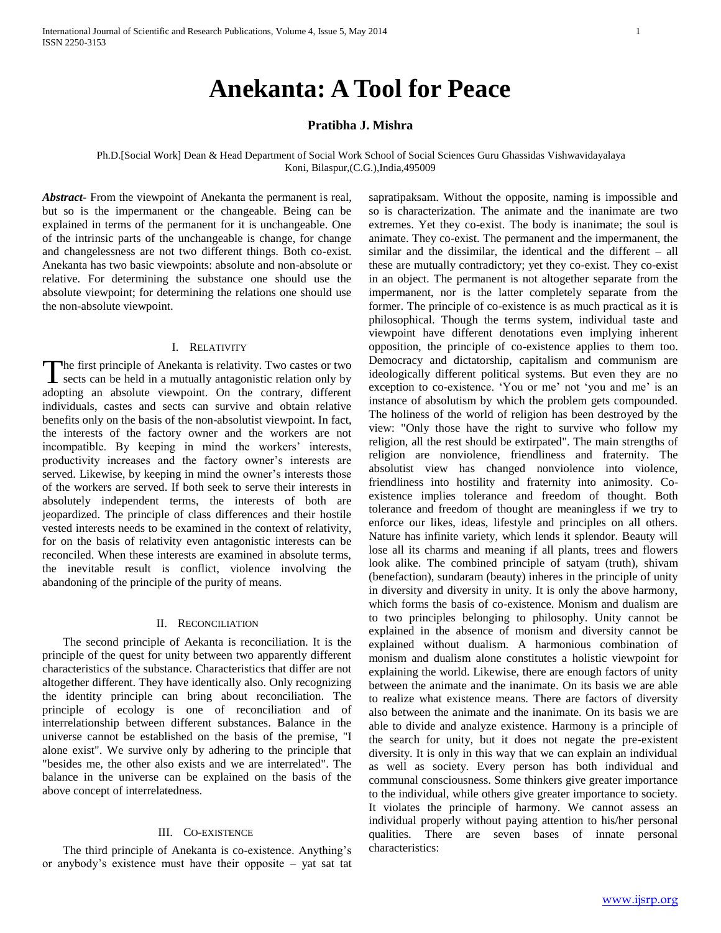# **Anekanta: A Tool for Peace**

## **Pratibha J. Mishra**

Ph.D.[Social Work] Dean & Head Department of Social Work School of Social Sciences Guru Ghassidas Vishwavidayalaya Koni, Bilaspur,(C.G.),India,495009

*Abstract***-** From the viewpoint of Anekanta the permanent is real, but so is the impermanent or the changeable. Being can be explained in terms of the permanent for it is unchangeable. One of the intrinsic parts of the unchangeable is change, for change and changelessness are not two different things. Both co-exist. Anekanta has two basic viewpoints: absolute and non-absolute or relative. For determining the substance one should use the absolute viewpoint; for determining the relations one should use the non-absolute viewpoint.

#### I. RELATIVITY

he first principle of Anekanta is relativity. Two castes or two The first principle of Anekanta is relativity. Two castes or two sects can be held in a mutually antagonistic relation only by adopting an absolute viewpoint. On the contrary, different individuals, castes and sects can survive and obtain relative benefits only on the basis of the non-absolutist viewpoint. In fact, the interests of the factory owner and the workers are not incompatible. By keeping in mind the workers' interests, productivity increases and the factory owner's interests are served. Likewise, by keeping in mind the owner's interests those of the workers are served. If both seek to serve their interests in absolutely independent terms, the interests of both are jeopardized. The principle of class differences and their hostile vested interests needs to be examined in the context of relativity, for on the basis of relativity even antagonistic interests can be reconciled. When these interests are examined in absolute terms, the inevitable result is conflict, violence involving the abandoning of the principle of the purity of means.

#### II. RECONCILIATION

 The second principle of Aekanta is reconciliation. It is the principle of the quest for unity between two apparently different characteristics of the substance. Characteristics that differ are not altogether different. They have identically also. Only recognizing the identity principle can bring about reconciliation. The principle of ecology is one of reconciliation and of interrelationship between different substances. Balance in the universe cannot be established on the basis of the premise, "I alone exist". We survive only by adhering to the principle that "besides me, the other also exists and we are interrelated". The balance in the universe can be explained on the basis of the above concept of interrelatedness.

## III. CO-EXISTENCE

 The third principle of Anekanta is co-existence. Anything's or anybody's existence must have their opposite – yat sat tat sapratipaksam. Without the opposite, naming is impossible and so is characterization. The animate and the inanimate are two extremes. Yet they co-exist. The body is inanimate; the soul is animate. They co-exist. The permanent and the impermanent, the similar and the dissimilar, the identical and the different – all these are mutually contradictory; yet they co-exist. They co-exist in an object. The permanent is not altogether separate from the impermanent, nor is the latter completely separate from the former. The principle of co-existence is as much practical as it is philosophical. Though the terms system, individual taste and viewpoint have different denotations even implying inherent opposition, the principle of co-existence applies to them too. Democracy and dictatorship, capitalism and communism are ideologically different political systems. But even they are no exception to co-existence. 'You or me' not 'you and me' is an instance of absolutism by which the problem gets compounded. The holiness of the world of religion has been destroyed by the view: "Only those have the right to survive who follow my religion, all the rest should be extirpated". The main strengths of religion are nonviolence, friendliness and fraternity. The absolutist view has changed nonviolence into violence, friendliness into hostility and fraternity into animosity. Coexistence implies tolerance and freedom of thought. Both tolerance and freedom of thought are meaningless if we try to enforce our likes, ideas, lifestyle and principles on all others. Nature has infinite variety, which lends it splendor. Beauty will lose all its charms and meaning if all plants, trees and flowers look alike. The combined principle of satyam (truth), shivam (benefaction), sundaram (beauty) inheres in the principle of unity in diversity and diversity in unity. It is only the above harmony, which forms the basis of co-existence. Monism and dualism are to two principles belonging to philosophy. Unity cannot be explained in the absence of monism and diversity cannot be explained without dualism. A harmonious combination of monism and dualism alone constitutes a holistic viewpoint for explaining the world. Likewise, there are enough factors of unity between the animate and the inanimate. On its basis we are able to realize what existence means. There are factors of diversity also between the animate and the inanimate. On its basis we are able to divide and analyze existence. Harmony is a principle of the search for unity, but it does not negate the pre-existent diversity. It is only in this way that we can explain an individual as well as society. Every person has both individual and communal consciousness. Some thinkers give greater importance to the individual, while others give greater importance to society. It violates the principle of harmony. We cannot assess an individual properly without paying attention to his/her personal qualities. There are seven bases of innate personal characteristics: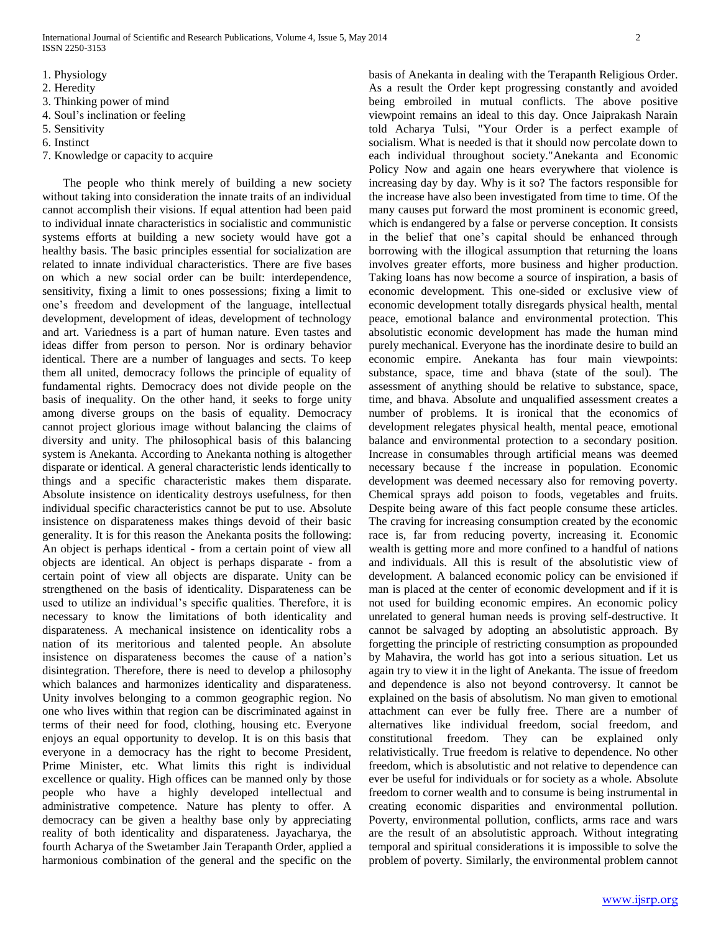- 1. Physiology
- 2. Heredity
- 3. Thinking power of mind
- 4. Soul's inclination or feeling
- 5. Sensitivity
- 6. Instinct
- 7. Knowledge or capacity to acquire

 The people who think merely of building a new society without taking into consideration the innate traits of an individual cannot accomplish their visions. If equal attention had been paid to individual innate characteristics in socialistic and communistic systems efforts at building a new society would have got a healthy basis. The basic principles essential for socialization are related to innate individual characteristics. There are five bases on which a new social order can be built: interdependence, sensitivity, fixing a limit to ones possessions; fixing a limit to one's freedom and development of the language, intellectual development, development of ideas, development of technology and art. Variedness is a part of human nature. Even tastes and ideas differ from person to person. Nor is ordinary behavior identical. There are a number of languages and sects. To keep them all united, democracy follows the principle of equality of fundamental rights. Democracy does not divide people on the basis of inequality. On the other hand, it seeks to forge unity among diverse groups on the basis of equality. Democracy cannot project glorious image without balancing the claims of diversity and unity. The philosophical basis of this balancing system is Anekanta. According to Anekanta nothing is altogether disparate or identical. A general characteristic lends identically to things and a specific characteristic makes them disparate. Absolute insistence on identicality destroys usefulness, for then individual specific characteristics cannot be put to use. Absolute insistence on disparateness makes things devoid of their basic generality. It is for this reason the Anekanta posits the following: An object is perhaps identical - from a certain point of view all objects are identical. An object is perhaps disparate - from a certain point of view all objects are disparate. Unity can be strengthened on the basis of identicality. Disparateness can be used to utilize an individual's specific qualities. Therefore, it is necessary to know the limitations of both identicality and disparateness. A mechanical insistence on identicality robs a nation of its meritorious and talented people. An absolute insistence on disparateness becomes the cause of a nation's disintegration. Therefore, there is need to develop a philosophy which balances and harmonizes identicality and disparateness. Unity involves belonging to a common geographic region. No one who lives within that region can be discriminated against in terms of their need for food, clothing, housing etc. Everyone enjoys an equal opportunity to develop. It is on this basis that everyone in a democracy has the right to become President, Prime Minister, etc. What limits this right is individual excellence or quality. High offices can be manned only by those people who have a highly developed intellectual and administrative competence. Nature has plenty to offer. A democracy can be given a healthy base only by appreciating reality of both identicality and disparateness. Jayacharya, the fourth Acharya of the Swetamber Jain Terapanth Order, applied a harmonious combination of the general and the specific on the basis of Anekanta in dealing with the Terapanth Religious Order. As a result the Order kept progressing constantly and avoided being embroiled in mutual conflicts. The above positive viewpoint remains an ideal to this day. Once Jaiprakash Narain told Acharya Tulsi, "Your Order is a perfect example of socialism. What is needed is that it should now percolate down to each individual throughout society."Anekanta and Economic Policy Now and again one hears everywhere that violence is increasing day by day. Why is it so? The factors responsible for the increase have also been investigated from time to time. Of the many causes put forward the most prominent is economic greed, which is endangered by a false or perverse conception. It consists in the belief that one's capital should be enhanced through borrowing with the illogical assumption that returning the loans involves greater efforts, more business and higher production. Taking loans has now become a source of inspiration, a basis of economic development. This one-sided or exclusive view of economic development totally disregards physical health, mental peace, emotional balance and environmental protection. This absolutistic economic development has made the human mind purely mechanical. Everyone has the inordinate desire to build an economic empire. Anekanta has four main viewpoints: substance, space, time and bhava (state of the soul). The assessment of anything should be relative to substance, space, time, and bhava. Absolute and unqualified assessment creates a number of problems. It is ironical that the economics of development relegates physical health, mental peace, emotional balance and environmental protection to a secondary position. Increase in consumables through artificial means was deemed necessary because f the increase in population. Economic development was deemed necessary also for removing poverty. Chemical sprays add poison to foods, vegetables and fruits. Despite being aware of this fact people consume these articles. The craving for increasing consumption created by the economic race is, far from reducing poverty, increasing it. Economic wealth is getting more and more confined to a handful of nations and individuals. All this is result of the absolutistic view of development. A balanced economic policy can be envisioned if man is placed at the center of economic development and if it is not used for building economic empires. An economic policy unrelated to general human needs is proving self-destructive. It cannot be salvaged by adopting an absolutistic approach. By forgetting the principle of restricting consumption as propounded by Mahavira, the world has got into a serious situation. Let us again try to view it in the light of Anekanta. The issue of freedom and dependence is also not beyond controversy. It cannot be explained on the basis of absolutism. No man given to emotional attachment can ever be fully free. There are a number of alternatives like individual freedom, social freedom, and constitutional freedom. They can be explained only relativistically. True freedom is relative to dependence. No other freedom, which is absolutistic and not relative to dependence can ever be useful for individuals or for society as a whole. Absolute freedom to corner wealth and to consume is being instrumental in creating economic disparities and environmental pollution. Poverty, environmental pollution, conflicts, arms race and wars are the result of an absolutistic approach. Without integrating temporal and spiritual considerations it is impossible to solve the problem of poverty. Similarly, the environmental problem cannot